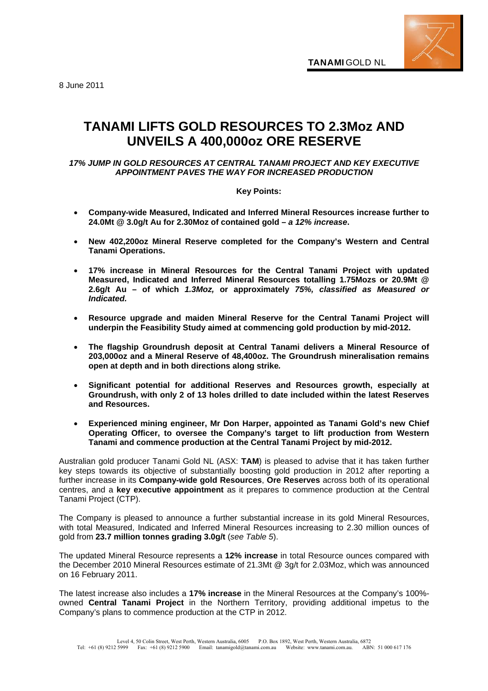8 June 2011

# **TANAMI LIFTS GOLD RESOURCES TO 2.3Moz AND UNVEILS A 400,000oz ORE RESERVE**

# *17% JUMP IN GOLD RESOURCES AT CENTRAL TANAMI PROJECT AND KEY EXECUTIVE APPOINTMENT PAVES THE WAY FOR INCREASED PRODUCTION*

# **Key Points:**

- **Company-wide Measured, Indicated and Inferred Mineral Resources increase further to 24.0Mt @ 3.0g/t Au for 2.30Moz of contained gold –** *a 12% increase***.**
- **New 402,200oz Mineral Reserve completed for the Company's Western and Central Tanami Operations.**
- **17% increase in Mineral Resources for the Central Tanami Project with updated Measured, Indicated and Inferred Mineral Resources totalling 1.75Mozs or 20.9Mt @ 2.6g/t Au – of which** *1.3Moz,* **or approximately** *75%, classified as Measured or Indicated.*
- **Resource upgrade and maiden Mineral Reserve for the Central Tanami Project will underpin the Feasibility Study aimed at commencing gold production by mid-2012.**
- **The flagship Groundrush deposit at Central Tanami delivers a Mineral Resource of 203,000oz and a Mineral Reserve of 48,400oz. The Groundrush mineralisation remains open at depth and in both directions along strike***.*
- **Significant potential for additional Reserves and Resources growth, especially at Groundrush, with only 2 of 13 holes drilled to date included within the latest Reserves and Resources.**
- **Experienced mining engineer, Mr Don Harper, appointed as Tanami Gold's new Chief Operating Officer, to oversee the Company's target to lift production from Western Tanami and commence production at the Central Tanami Project by mid-2012.**

Australian gold producer Tanami Gold NL (ASX: **TAM**) is pleased to advise that it has taken further key steps towards its objective of substantially boosting gold production in 2012 after reporting a further increase in its **Company-wide gold Resources**, **Ore Reserves** across both of its operational centres, and a **key executive appointment** as it prepares to commence production at the Central Tanami Project (CTP).

The Company is pleased to announce a further substantial increase in its gold Mineral Resources, with total Measured, Indicated and Inferred Mineral Resources increasing to 2.30 million ounces of gold from **23.7 million tonnes grading 3.0g/t** (*see Table 5*).

The updated Mineral Resource represents a **12% increase** in total Resource ounces compared with the December 2010 Mineral Resources estimate of 21.3Mt @ 3g/t for 2.03Moz, which was announced on 16 February 2011.

The latest increase also includes a **17% increase** in the Mineral Resources at the Company's 100% owned **Central Tanami Project** in the Northern Territory, providing additional impetus to the Company's plans to commence production at the CTP in 2012.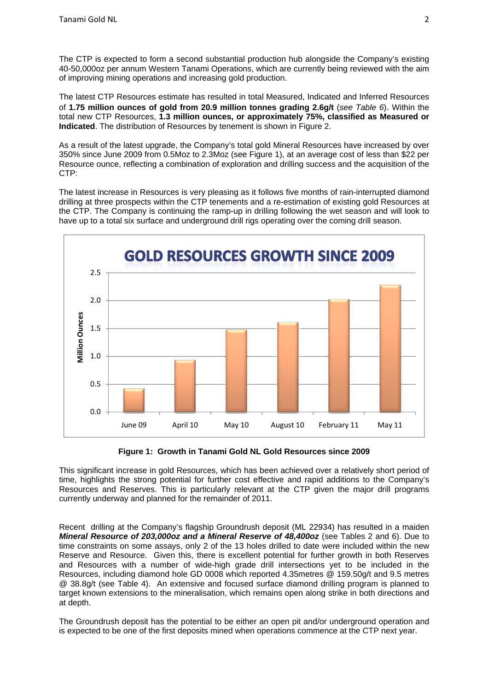The CTP is expected to form a second substantial production hub alongside the Company's existing 40-50,000oz per annum Western Tanami Operations, which are currently being reviewed with the aim of improving mining operations and increasing gold production.

The latest CTP Resources estimate has resulted in total Measured, Indicated and Inferred Resources of **1.75 million ounces of gold from 20.9 million tonnes grading 2.6g/t** (*see Table 6*). Within the total new CTP Resources, **1.3 million ounces, or approximately 75%, classified as Measured or Indicated**. The distribution of Resources by tenement is shown in Figure 2.

As a result of the latest upgrade, the Company's total gold Mineral Resources have increased by over 350% since June 2009 from 0.5Moz to 2.3Moz (see Figure 1), at an average cost of less than \$22 per Resource ounce, reflecting a combination of exploration and drilling success and the acquisition of the CTP:

The latest increase in Resources is very pleasing as it follows five months of rain-interrupted diamond drilling at three prospects within the CTP tenements and a re-estimation of existing gold Resources at the CTP. The Company is continuing the ramp-up in drilling following the wet season and will look to have up to a total six surface and underground drill rigs operating over the coming drill season.



**Figure 1: Growth in Tanami Gold NL Gold Resources since 2009** 

This significant increase in gold Resources, which has been achieved over a relatively short period of time, highlights the strong potential for further cost effective and rapid additions to the Company's Resources and Reserves. This is particularly relevant at the CTP given the major drill programs currently underway and planned for the remainder of 2011.

Recent drilling at the Company's flagship Groundrush deposit (ML 22934) has resulted in a maiden *Mineral Resource of 203,000oz and a Mineral Reserve of 48,400oz* (see Tables 2 and 6). Due to time constraints on some assays, only 2 of the 13 holes drilled to date were included within the new Reserve and Resource. Given this, there is excellent potential for further growth in both Reserves and Resources with a number of wide-high grade drill intersections yet to be included in the Resources, including diamond hole GD 0008 which reported 4.35metres @ 159.50g/t and 9.5 metres @ 38.8g/t (see Table 4). An extensive and focused surface diamond drilling program is planned to target known extensions to the mineralisation, which remains open along strike in both directions and at depth.

The Groundrush deposit has the potential to be either an open pit and/or underground operation and is expected to be one of the first deposits mined when operations commence at the CTP next year.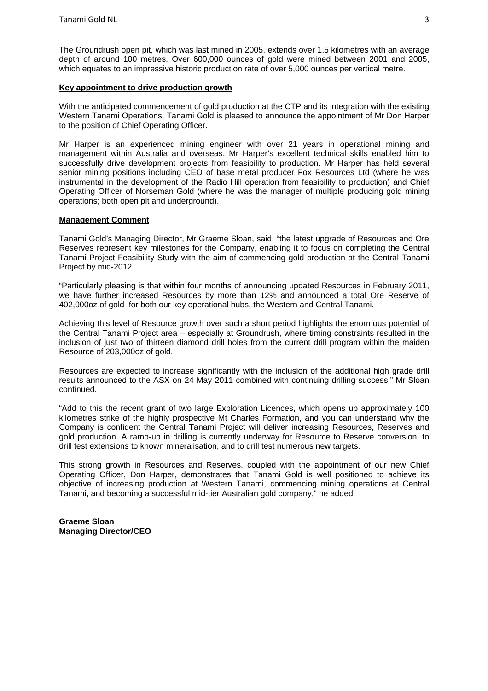The Groundrush open pit, which was last mined in 2005, extends over 1.5 kilometres with an average depth of around 100 metres. Over 600,000 ounces of gold were mined between 2001 and 2005, which equates to an impressive historic production rate of over 5,000 ounces per vertical metre.

## **Key appointment to drive production growth**

With the anticipated commencement of gold production at the CTP and its integration with the existing Western Tanami Operations, Tanami Gold is pleased to announce the appointment of Mr Don Harper to the position of Chief Operating Officer.

Mr Harper is an experienced mining engineer with over 21 years in operational mining and management within Australia and overseas. Mr Harper's excellent technical skills enabled him to successfully drive development projects from feasibility to production. Mr Harper has held several senior mining positions including CEO of base metal producer Fox Resources Ltd (where he was instrumental in the development of the Radio Hill operation from feasibility to production) and Chief Operating Officer of Norseman Gold (where he was the manager of multiple producing gold mining operations; both open pit and underground).

## **Management Comment**

Tanami Gold's Managing Director, Mr Graeme Sloan, said, "the latest upgrade of Resources and Ore Reserves represent key milestones for the Company, enabling it to focus on completing the Central Tanami Project Feasibility Study with the aim of commencing gold production at the Central Tanami Project by mid-2012.

"Particularly pleasing is that within four months of announcing updated Resources in February 2011, we have further increased Resources by more than 12% and announced a total Ore Reserve of 402,000oz of gold for both our key operational hubs, the Western and Central Tanami.

Achieving this level of Resource growth over such a short period highlights the enormous potential of the Central Tanami Project area – especially at Groundrush, where timing constraints resulted in the inclusion of just two of thirteen diamond drill holes from the current drill program within the maiden Resource of 203,000oz of gold.

Resources are expected to increase significantly with the inclusion of the additional high grade drill results announced to the ASX on 24 May 2011 combined with continuing drilling success," Mr Sloan continued.

"Add to this the recent grant of two large Exploration Licences, which opens up approximately 100 kilometres strike of the highly prospective Mt Charles Formation, and you can understand why the Company is confident the Central Tanami Project will deliver increasing Resources, Reserves and gold production. A ramp-up in drilling is currently underway for Resource to Reserve conversion, to drill test extensions to known mineralisation, and to drill test numerous new targets.

This strong growth in Resources and Reserves, coupled with the appointment of our new Chief Operating Officer, Don Harper, demonstrates that Tanami Gold is well positioned to achieve its objective of increasing production at Western Tanami, commencing mining operations at Central Tanami, and becoming a successful mid-tier Australian gold company," he added.

**Graeme Sloan Managing Director/CEO**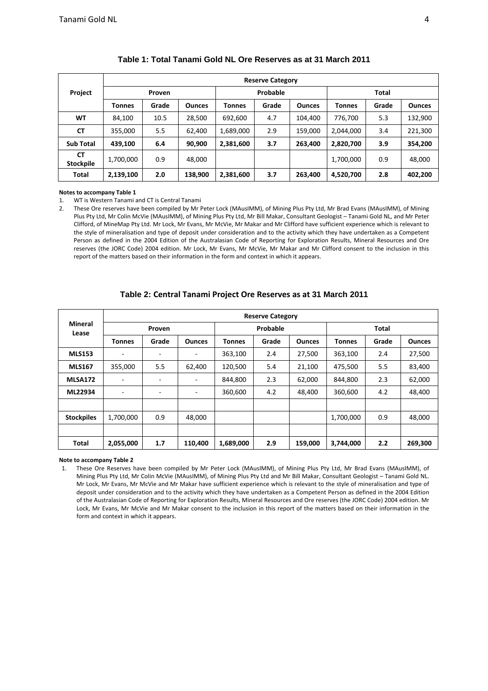|                               |               | <b>Reserve Category</b> |               |           |          |               |              |       |               |  |  |  |  |  |
|-------------------------------|---------------|-------------------------|---------------|-----------|----------|---------------|--------------|-------|---------------|--|--|--|--|--|
| Project                       |               | <b>Proven</b>           |               |           | Probable |               | <b>Total</b> |       |               |  |  |  |  |  |
|                               | <b>Tonnes</b> | Grade                   | <b>Ounces</b> | Tonnes    | Grade    | <b>Ounces</b> | Tonnes       | Grade | <b>Ounces</b> |  |  |  |  |  |
| WT                            | 84,100        | 10.5                    | 28,500        | 692,600   | 4.7      | 104,400       | 776,700      | 5.3   | 132,900       |  |  |  |  |  |
| <b>CT</b>                     | 355,000       | 5.5                     | 62,400        | 1,689,000 | 2.9      | 159,000       | 2,044,000    | 3.4   | 221,300       |  |  |  |  |  |
| <b>Sub Total</b>              | 439,100       | 6.4                     | 90,900        | 2,381,600 | 3.7      | 263,400       | 2,820,700    | 3.9   | 354,200       |  |  |  |  |  |
| <b>CT</b><br><b>Stockpile</b> | 1,700,000     | 0.9                     | 48,000        |           |          |               | 1,700,000    | 0.9   | 48,000        |  |  |  |  |  |
| <b>Total</b>                  | 2,139,100     | 2.0                     | 138,900       | 2,381,600 | 3.7      | 263,400       | 4,520,700    | 2.8   | 402,200       |  |  |  |  |  |

## **Table 1: Total Tanami Gold NL Ore Reserves as at 31 March 2011**

#### **Notes to accompany Table 1**

1. WT is Western Tanami and CT is Central Tanami

2. These Ore reserves have been compiled by Mr Peter Lock (MAusIMM), of Mining Plus Pty Ltd, Mr Brad Evans (MAusIMM), of Mining Plus Pty Ltd, Mr Colin McVie (MAusIMM), of Mining Plus Pty Ltd, Mr Bill Makar, Consultant Geologist – Tanami Gold NL, and Mr Peter Clifford, of MineMap Pty Ltd. Mr Lock, Mr Evans, Mr McVie, Mr Makar and Mr Clifford have sufficient experience which is relevant to the style of mineralisation and type of deposit under consideration and to the activity which they have undertaken as a Competent Person as defined in the 2004 Edition of the Australasian Code of Reporting for Exploration Results, Mineral Resources and Ore reserves (the JORC Code) 2004 edition. Mr Lock, Mr Evans, Mr McVie, Mr Makar and Mr Clifford consent to the inclusion in this report of the matters based on their information in the form and context in which it appears.

|                         |                          |        |               |           | <b>Reserve Category</b> |               |               |       |               |  |
|-------------------------|--------------------------|--------|---------------|-----------|-------------------------|---------------|---------------|-------|---------------|--|
| <b>Mineral</b><br>Lease |                          | Proven |               |           | Probable                |               | <b>Total</b>  |       |               |  |
|                         | <b>Tonnes</b>            | Grade  | <b>Ounces</b> | Tonnes    | Grade                   | <b>Ounces</b> | <b>Tonnes</b> | Grade | <b>Ounces</b> |  |
| <b>MLS153</b>           | ٠                        | ۰      |               | 363,100   | 2.4                     | 27,500        | 363,100       | 2.4   | 27,500        |  |
| <b>MLS167</b>           | 355,000                  | 5.5    | 62,400        | 120,500   | 5.4                     | 21,100        | 475,500       | 5.5   | 83,400        |  |
| MLSA172                 | ٠                        | -      | ۰             | 844,800   | 2.3                     | 62,000        | 844,800       | 2.3   | 62,000        |  |
| ML22934                 | $\overline{\phantom{a}}$ | -      | ٠             | 360,600   | 4.2                     | 48,400        | 360,600       | 4.2   | 48,400        |  |
|                         |                          |        |               |           |                         |               |               |       |               |  |
| <b>Stockpiles</b>       | 1,700,000                | 0.9    | 48,000        |           |                         |               | 1,700,000     | 0.9   | 48,000        |  |
|                         |                          |        |               |           |                         |               |               |       |               |  |
| <b>Total</b>            | 2,055,000                | 1.7    | 110,400       | 1,689,000 | 2.9                     | 159,000       | 3,744,000     | 2.2   | 269,300       |  |

#### **Table 2: Central Tanami Project Ore Reserves as at 31 March 2011**

**Note to accompany Table 2** 

1. These Ore Reserves have been compiled by Mr Peter Lock (MAusIMM), of Mining Plus Pty Ltd, Mr Brad Evans (MAusIMM), of Mining Plus Pty Ltd, Mr Colin McVie (MAusIMM), of Mining Plus Pty Ltd and Mr Bill Makar, Consultant Geologist – Tanami Gold NL. Mr Lock, Mr Evans, Mr McVie and Mr Makar have sufficient experience which is relevant to the style of mineralisation and type of deposit under consideration and to the activity which they have undertaken as a Competent Person as defined in the 2004 Edition of the Australasian Code of Reporting for Exploration Results, Mineral Resources and Ore reserves (the JORC Code) 2004 edition. Mr Lock, Mr Evans, Mr McVie and Mr Makar consent to the inclusion in this report of the matters based on their information in the form and context in which it appears.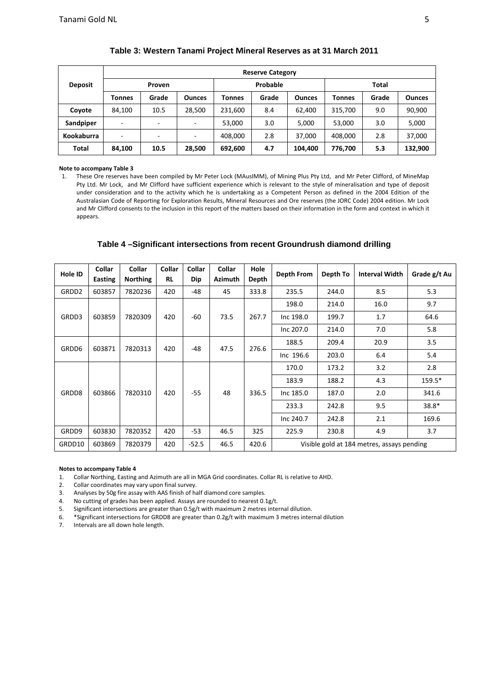| <b>Deposit</b> | <b>Reserve Category</b> |        |               |         |          |               |         |       |               |  |  |  |  |
|----------------|-------------------------|--------|---------------|---------|----------|---------------|---------|-------|---------------|--|--|--|--|
|                |                         | Proven |               |         | Probable |               | Total   |       |               |  |  |  |  |
|                | Tonnes                  | Grade  | <b>Ounces</b> | Tonnes  | Grade    | <b>Ounces</b> | Tonnes  | Grade | <b>Ounces</b> |  |  |  |  |
| Coyote         | 84.100                  | 10.5   | 28,500        | 231,600 | 8.4      | 62.400        | 315,700 | 9.0   | 90,900        |  |  |  |  |
| Sandpiper      | ٠                       |        | -             | 53,000  | 3.0      | 5,000         | 53.000  | 3.0   | 5,000         |  |  |  |  |
| Kookaburra     | ٠                       |        | ٠             | 408,000 | 2.8      | 37,000        | 408,000 | 2.8   | 37,000        |  |  |  |  |
| <b>Total</b>   | 84,100                  | 10.5   | 28,500        | 692,600 | 4.7      | 104,400       | 776,700 | 5.3   | 132,900       |  |  |  |  |

## **Table 3: Western Tanami Project Mineral Reserves as at 31 March 2011**

#### **Note to accompany Table 3**

1. These Ore reserves have been compiled by Mr Peter Lock (MAusIMM), of Mining Plus Pty Ltd, and Mr Peter Clifford, of MineMap Pty Ltd. Mr Lock, and Mr Clifford have sufficient experience which is relevant to the style of mineralisation and type of deposit under consideration and to the activity which he is undertaking as a Competent Person as defined in the 2004 Edition of the Australasian Code of Reporting for Exploration Results, Mineral Resources and Ore reserves (the JORC Code) 2004 edition. Mr Lock and Mr Clifford consents to the inclusion in this report of the matters based on their information in the form and context in which it appears.

## **Table 4 –Significant intersections from recent Groundrush diamond drilling**

| Hole ID           | Collar<br>Easting | <b>Collar</b><br><b>Northing</b> | Collar<br><b>RL</b> | Collar<br>Dip | Collar<br><b>Azimuth</b> | Hole<br>Depth | Depth From | Depth To | <b>Interval Width</b>                      | Grade g/t Au |
|-------------------|-------------------|----------------------------------|---------------------|---------------|--------------------------|---------------|------------|----------|--------------------------------------------|--------------|
| GRDD <sub>2</sub> | 603857            | 7820236                          | 420                 | -48           | 45                       | 333.8         | 235.5      | 244.0    | 8.5                                        | 5.3          |
|                   |                   |                                  |                     |               |                          |               | 198.0      | 214.0    | 16.0                                       | 9.7          |
| GRDD3             | 603859            | 7820309<br>420<br>$-60$<br>73.5  |                     | 267.7         | Inc 198.0                | 199.7         | 1.7        | 64.6     |                                            |              |
|                   |                   |                                  |                     |               |                          | Inc 207.0     | 214.0      | 7.0      | 5.8                                        |              |
| GRDD6             | 603871            | 7820313                          | 420                 | $-48$         | 47.5                     | 276.6         | 188.5      | 209.4    | 20.9                                       | 3.5          |
|                   |                   |                                  |                     |               |                          |               | Inc 196.6  | 203.0    | 6.4                                        | 5.4          |
|                   |                   |                                  | 420                 |               | 48                       |               | 170.0      | 173.2    | 3.2                                        | 2.8          |
|                   |                   |                                  |                     | $-55$         |                          | 336.5         | 183.9      | 188.2    | 4.3                                        | 159.5*       |
| GRDD8             | 603866            | 7820310                          |                     |               |                          |               | Inc 185.0  | 187.0    | 2.0                                        | 341.6        |
|                   |                   |                                  |                     |               |                          |               | 233.3      | 242.8    | 9.5                                        | 38.8*        |
|                   |                   |                                  |                     |               |                          |               | Inc 240.7  | 242.8    | 2.1                                        | 169.6        |
| GRDD9             | 603830            | 7820352                          | 420                 | -53           | 46.5                     | 325           | 225.9      | 230.8    | 4.9                                        | 3.7          |
| GRDD10            | 603869            | 7820379                          | 420                 | $-52.5$       | 46.5                     | 420.6         |            |          | Visible gold at 184 metres, assays pending |              |

#### **Notes to accompany Table 4**

1. Collar Northing, Easting and Azimuth are all in MGA Grid coordinates. Collar RL is relative to AHD.

2. Collar coordinates may vary upon final survey.

3. Analyses by 50g fire assay with AAS finish of half diamond core samples.

4. No cutting of grades has been applied. Assays are rounded to nearest 0.1g/t.

5. Significant intersections are greater than 0.5g/t with maximum 2 metres internal dilution.

6. \*Significant intersections for GRDD8 are greater than  $0.2$ g/t with maximum 3 metres internal dilution 7. Intervals are all down hole length.

Intervals are all down hole length.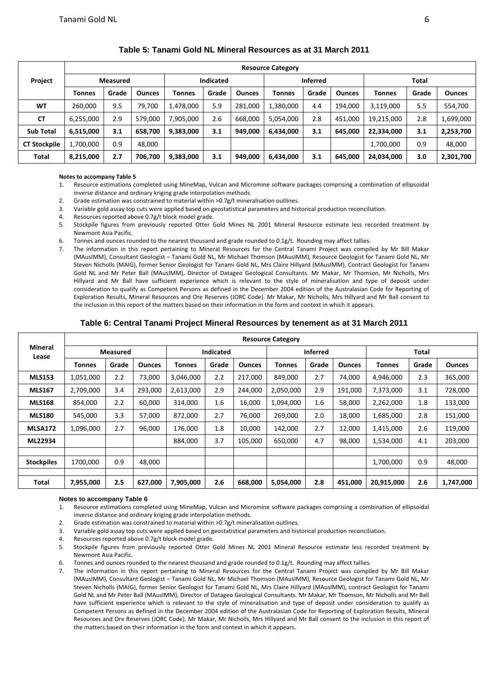|                     |                 | <b>Resource Category</b> |               |                  |       |               |                 |       |               |            |       |               |  |  |  |
|---------------------|-----------------|--------------------------|---------------|------------------|-------|---------------|-----------------|-------|---------------|------------|-------|---------------|--|--|--|
| Project             | <b>Measured</b> |                          |               | <b>Indicated</b> |       |               | <b>Inferred</b> |       |               | Total      |       |               |  |  |  |
|                     | <b>Tonnes</b>   | Grade                    | <b>Ounces</b> | Tonnes           | Grade | <b>Ounces</b> | Tonnes          | Grade | <b>Ounces</b> | Tonnes     | Grade | <b>Ounces</b> |  |  |  |
| WT                  | 260.000         | 9.5                      | 79,700        | 1,478,000        | 5.9   | 281,000       | 1,380,000       | 4.4   | 194.000       | 3,119,000  | 5.5   | 554,700       |  |  |  |
| <b>CT</b>           | 6,255,000       | 2.9                      | 579.000       | 7,905,000        | 2.6   | 668,000       | 5,054,000       | 2.8   | 451.000       | 19,215,000 | 2.8   | 1,699,000     |  |  |  |
| <b>Sub Total</b>    | 6,515,000       | 3.1                      | 658.700       | 9,383,000        | 3.1   | 949,000       | 6,434,000       | 3.1   | 645.000       | 22,334,000 | 3.1   | 2,253,700     |  |  |  |
| <b>CT Stockpile</b> | 1,700,000       | 0.9                      | 48.000        |                  |       |               |                 |       |               | 1,700,000  | 0.9   | 48,000        |  |  |  |
| Total               | 8,215,000       | 2.7                      | 706,700       | 9,383,000        | 3.1   | 949,000       | 6,434,000       | 3.1   | 645,000       | 24,034,000 | 3.0   | 2,301,700     |  |  |  |

## **Table 5: Tanami Gold NL Mineral Resources as at 31 March 2011**

#### **Notes to accompany Table 5**

- 1. Resource estimations completed using MineMap, Vulcan and Micromine software packages comprising a combination of ellipsoidal inverse distance and ordinary kriging grade interpolation methods.
- 2. Grade estimation was constrained to material within >0.7g/t mineralisation outlines.
- 3. Variable gold assay top cuts were applied based on geostatistical parameters and historical production reconciliation.
- 4. Resources reported above 0.7g/t block model grade.
- 5. Stockpile figures from previously reported Otter Gold Mines NL 2001 Mineral Resource estimate less recorded treatment by Newmont Asia Pacific.
- 6. Tonnes and ounces rounded to the nearest thousand and grade rounded to 0.1g/t. Rounding may affect tallies.
- 7. The information in this report pertaining to Mineral Resources for the Central Tanami Project was compiled by Mr Bill Makar (MAusIMM), Consultant Geologist – Tanami Gold NL, Mr Michael Thomson (MAusIMM), Resource Geologist for Tanami Gold NL, Mr Steven Nicholls (MAIG), former Senior Geologist for Tanami Gold NL, Mrs Claire Hillyard (MAusIMM), Contract Geologist for Tanami Gold NL and Mr Peter Ball (MAusIMM), Director of Datageo Geological Consultants. Mr Makar, Mr Thomson, Mr Nicholls, Mrs Hillyard and Mr Ball have sufficient experience which is relevant to the style of mineralisation and type of deposit under consideration to qualify as Competent Persons as defined in the December 2004 edition of the Australasian Code for Reporting of Exploration Results, Mineral Resources and Ore Reserves (JORC Code). Mr Makar, Mr Nicholls, Mrs Hillyard and Mr Ball consent to the inclusion in this report of the matters based on their information in the form and context in which it appears.

## **Table 6: Central Tanami Project Mineral Resources by tenement as at 31 March 2011**

|                         |           | <b>Resource Category</b> |               |           |                  |               |               |                 |               |               |       |               |  |  |  |
|-------------------------|-----------|--------------------------|---------------|-----------|------------------|---------------|---------------|-----------------|---------------|---------------|-------|---------------|--|--|--|
| <b>Mineral</b><br>Lease |           | <b>Measured</b>          |               |           | <b>Indicated</b> |               |               | <b>Inferred</b> |               |               | Total |               |  |  |  |
|                         | Tonnes    | Grade                    | <b>Ounces</b> | Tonnes    | Grade            | <b>Ounces</b> | <b>Tonnes</b> | Grade           | <b>Ounces</b> | <b>Tonnes</b> | Grade | <b>Ounces</b> |  |  |  |
| <b>MLS153</b>           | 1,051,000 | 2.2                      | 73,000        | 3,046,000 | 2.2              | 217,000       | 849,000       | 2.7             | 74,000        | 4,946,000     | 2.3   | 365,000       |  |  |  |
| <b>MLS167</b>           | 2,709,000 | 3.4                      | 293,000       | 2,613,000 | 2.9              | 244,000       | 2,050,000     | 2.9             | 191,000       | 7,373,000     | 3.1   | 728,000       |  |  |  |
| <b>MLS168</b>           | 854,000   | 2.2                      | 60,000        | 314,000   | 1.6              | 16,000        | 1,094,000     | 1.6             | 58,000        | 2,262,000     | 1.8   | 133,000       |  |  |  |
| <b>MLS180</b>           | 545,000   | 3.3                      | 57,000        | 872,000   | 2.7              | 76,000        | 269,000       | 2.0             | 18,000        | 1,685,000     | 2.8   | 151,000       |  |  |  |
| <b>MLSA172</b>          | 1,096,000 | 2.7                      | 96,000        | 176,000   | 1.8              | 10,000        | 142,000       | 2.7             | 12,000        | 1,415,000     | 2.6   | 119,000       |  |  |  |
| ML22934                 |           |                          |               | 884,000   | 3.7              | 105,000       | 650,000       | 4.7             | 98,000        | 1,534,000     | 4.1   | 203,000       |  |  |  |
|                         |           |                          |               |           |                  |               |               |                 |               |               |       |               |  |  |  |
| <b>Stockpiles</b>       | 1700.000  | 0.9                      | 48,000        |           |                  |               |               |                 |               | 1,700,000     | 0.9   | 48,000        |  |  |  |
|                         |           |                          |               |           |                  |               |               |                 |               |               |       |               |  |  |  |
| Total                   | 7,955,000 | 2.5                      | 627,000       | 7,905,000 | 2.6              | 668,000       | 5,054,000     | 2.8             | 451,000       | 20,915,000    | 2.6   | 1,747,000     |  |  |  |

#### **Notes to accompany Table 6**

- 1. Resource estimations completed using MineMap, Vulcan and Micromine software packages comprising a combination of ellipsoidal inverse distance and ordinary kriging grade interpolation methods.
- 2. Grade estimation was constrained to material within >0.7g/t mineralisation outlines.
- 3. Variable gold assay top cuts were applied based on geostatistical parameters and historical production reconciliation.
- 4. Resources reported above 0.7g/t block model grade.
- 5. Stockpile figures from previously reported Otter Gold Mines NL 2001 Mineral Resource estimate less recorded treatment by Newmont Asia Pacific.
- 6. Tonnes and ounces rounded to the nearest thousand and grade rounded to 0.1g/t. Rounding may affect tallies.
- 7. The information in this report pertaining to Mineral Resources for the Central Tanami Project was compiled by Mr Bill Makar (MAusIMM), Consultant Geologist – Tanami Gold NL, Mr Michael Thomson (MAusIMM), Resource Geologist for Tanami Gold NL, Mr Steven Nicholls (MAIG), former Senior Geologist for Tanami Gold NL, Mrs Claire Hillyard (MAusIMM), contract Geologist for Tanami Gold NL and Mr Peter Ball (MAusIMM), Director of Datageo Geological Consultants. Mr Makar, Mr Thomson, Mr Nicholls and Mr Ball have sufficient experience which is relevant to the style of mineralisation and type of deposit under consideration to qualify as Competent Persons as defined in the December 2004 edition of the Australasian Code for Reporting of Exploration Results, Mineral Resources and Ore Reserves (JORC Code). Mr Makar, Mr Nicholls, Mrs Hillyard and Mr Ball consent to the inclusion in this report of the matters based on their information in the form and context in which it appears.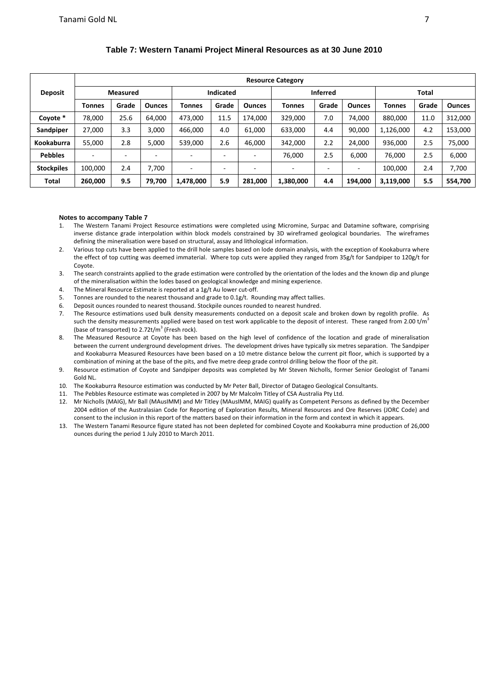|                   |                 | <b>Resource Category</b> |                          |                          |                          |               |                 |       |               |               |       |               |  |  |  |
|-------------------|-----------------|--------------------------|--------------------------|--------------------------|--------------------------|---------------|-----------------|-------|---------------|---------------|-------|---------------|--|--|--|
| <b>Deposit</b>    | <b>Measured</b> |                          |                          | <b>Indicated</b>         |                          |               | <b>Inferred</b> |       |               | Total         |       |               |  |  |  |
|                   | <b>Tonnes</b>   | Grade                    | <b>Ounces</b>            | Tonnes                   | Grade                    | <b>Ounces</b> | <b>Tonnes</b>   | Grade | <b>Ounces</b> | <b>Tonnes</b> | Grade | <b>Ounces</b> |  |  |  |
| Coyote *          | 78,000          | 25.6                     | 64.000                   | 473,000                  | 11.5                     | 174.000       | 329.000         | 7.0   | 74.000        | 880,000       | 11.0  | 312,000       |  |  |  |
| Sandpiper         | 27,000          | 3.3                      | 3.000                    | 466,000                  | 4.0                      | 61,000        | 633,000         | 4.4   | 90.000        | 1,126,000     | 4.2   | 153,000       |  |  |  |
| Kookaburra        | 55,000          | 2.8                      | 5.000                    | 539,000                  | 2.6                      | 46,000        | 342,000         | 2.2   | 24.000        | 936,000       | 2.5   | 75,000        |  |  |  |
| <b>Pebbles</b>    |                 | ۰                        | $\overline{\phantom{a}}$ | $\overline{\phantom{a}}$ | $\overline{\phantom{a}}$ | -             | 76.000          | 2.5   | 6,000         | 76,000        | 2.5   | 6,000         |  |  |  |
| <b>Stockpiles</b> | 100.000         | 2.4                      | 7.700                    | $\overline{\phantom{a}}$ | -                        | -             | ۰               | ٠     | ۰             | 100,000       | 2.4   | 7.700         |  |  |  |
| <b>Total</b>      | 260,000         | 9.5                      | 79,700                   | 1,478,000                | 5.9                      | 281,000       | 1,380,000       | 4.4   | 194,000       | 3,119,000     | 5.5   | 554,700       |  |  |  |

# **Table 7: Western Tanami Project Mineral Resources as at 30 June 2010**

#### **Notes to accompany Table 7**

- 1. The Western Tanami Project Resource estimations were completed using Micromine, Surpac and Datamine software, comprising inverse distance grade interpolation within block models constrained by 3D wireframed geological boundaries. The wireframes defining the mineralisation were based on structural, assay and lithological information.
- 2. Various top cuts have been applied to the drill hole samples based on lode domain analysis, with the exception of Kookaburra where the effect of top cutting was deemed immaterial. Where top cuts were applied they ranged from 35g/t for Sandpiper to 120g/t for Coyote.
- 3. The search constraints applied to the grade estimation were controlled by the orientation of the lodes and the known dip and plunge of the mineralisation within the lodes based on geological knowledge and mining experience.
- 4. The Mineral Resource Estimate is reported at a 1g/t Au lower cut-off.
- 5. Tonnes are rounded to the nearest thousand and grade to 0.1g/t. Rounding may affect tallies.
- 6. Deposit ounces rounded to nearest thousand. Stockpile ounces rounded to nearest hundred.
- 7. The Resource estimations used bulk density measurements conducted on a deposit scale and broken down by regolith profile. As such the density measurements applied were based on test work applicable to the deposit of interest. These ranged from 2.00 t/m<sup>3</sup> (base of transported) to  $2.72t/m^3$  (Fresh rock).
- 8. The Measured Resource at Coyote has been based on the high level of confidence of the location and grade of mineralisation between the current underground development drives. The development drives have typically six metres separation. The Sandpiper and Kookaburra Measured Resources have been based on a 10 metre distance below the current pit floor, which is supported by a combination of mining at the base of the pits, and five metre deep grade control drilling below the floor of the pit.
- 9. Resource estimation of Coyote and Sandpiper deposits was completed by Mr Steven Nicholls, former Senior Geologist of Tanami Gold NL.
- 10. The Kookaburra Resource estimation was conducted by Mr Peter Ball, Director of Datageo Geological Consultants.
- 11. The Pebbles Resource estimate was completed in 2007 by Mr Malcolm Titley of CSA Australia Pty Ltd.
- 12. Mr Nicholls (MAIG), Mr Ball (MAusIMM) and Mr Titley (MAusIMM, MAIG) qualify as Competent Persons as defined by the December 2004 edition of the Australasian Code for Reporting of Exploration Results, Mineral Resources and Ore Reserves (JORC Code) and consent to the inclusion in this report of the matters based on their information in the form and context in which it appears.
- 13. The Western Tanami Resource figure stated has not been depleted for combined Coyote and Kookaburra mine production of 26,000 ounces during the period 1 July 2010 to March 2011.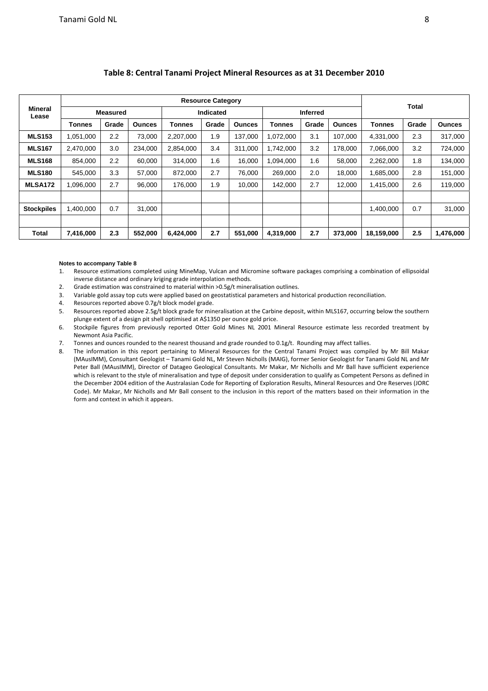| <b>Mineral</b><br>Lease |               |                 |               |                  | <b>Resource Category</b> |               |                 |       |               | Total         |       |               |  |
|-------------------------|---------------|-----------------|---------------|------------------|--------------------------|---------------|-----------------|-------|---------------|---------------|-------|---------------|--|
|                         |               | <b>Measured</b> |               | <b>Indicated</b> |                          |               | <b>Inferred</b> |       |               |               |       |               |  |
|                         | <b>Tonnes</b> | Grade           | <b>Ounces</b> | <b>Tonnes</b>    | Grade                    | <b>Ounces</b> | <b>Tonnes</b>   | Grade | <b>Ounces</b> | <b>Tonnes</b> | Grade | <b>Ounces</b> |  |
| <b>MLS153</b>           | 1,051,000     | 2.2             | 73,000        | 2.207.000        | 1.9                      | 137,000       | ,072,000        | 3.1   | 107,000       | 4.331.000     | 2.3   | 317,000       |  |
| <b>MLS167</b>           | 2,470,000     | 3.0             | 234,000       | 2,854,000        | 3.4                      | 311,000       | ,742,000        | 3.2   | 178,000       | 7,066,000     | 3.2   | 724,000       |  |
| <b>MLS168</b>           | 854.000       | 2.2             | 60.000        | 314.000          | 1.6                      | 16,000        | ,094,000        | 1.6   | 58,000        | 2,262,000     | 1.8   | 134,000       |  |
| <b>MLS180</b>           | 545,000       | 3.3             | 57,000        | 872,000          | 2.7                      | 76,000        | 269,000         | 2.0   | 18,000        | 1,685,000     | 2.8   | 151,000       |  |
| MLSA <sub>172</sub>     | 1,096,000     | 2.7             | 96.000        | 176.000          | 1.9                      | 10.000        | 142,000         | 2.7   | 12,000        | 1,415,000     | 2.6   | 119,000       |  |
|                         |               |                 |               |                  |                          |               |                 |       |               |               |       |               |  |
| <b>Stockpiles</b>       | 1,400,000     | 0.7             | 31,000        |                  |                          |               |                 |       |               | 1,400,000     | 0.7   | 31,000        |  |
|                         |               |                 |               |                  |                          |               |                 |       |               |               |       |               |  |
| Total                   | 7,416,000     | 2.3             | 552,000       | 6,424,000        | 2.7                      | 551,000       | 4,319,000       | 2.7   | 373,000       | 18,159,000    | 2.5   | 1,476,000     |  |

# **Table 8: Central Tanami Project Mineral Resources as at 31 December 2010**

#### **Notes to accompany Table 8**

- 1. Resource estimations completed using MineMap, Vulcan and Micromine software packages comprising a combination of ellipsoidal inverse distance and ordinary kriging grade interpolation methods.
- 2. Grade estimation was constrained to material within >0.5g/t mineralisation outlines.
- 3. Variable gold assay top cuts were applied based on geostatistical parameters and historical production reconciliation.<br>4. Resources reported above 0.7g/t block model grade.
- Resources reported above 0.7g/t block model grade.
- 5. Resources reported above 2.5g/t block grade for mineralisation at the Carbine deposit, within MLS167, occurring below the southern plunge extent of a design pit shell optimised at A\$1350 per ounce gold price.
- 6. Stockpile figures from previously reported Otter Gold Mines NL 2001 Mineral Resource estimate less recorded treatment by Newmont Asia Pacific.
- 7. Tonnes and ounces rounded to the nearest thousand and grade rounded to 0.1g/t. Rounding may affect tallies.
- 8. The information in this report pertaining to Mineral Resources for the Central Tanami Project was compiled by Mr Bill Makar (MAusIMM), Consultant Geologist – Tanami Gold NL, Mr Steven Nicholls (MAIG), former Senior Geologist for Tanami Gold NL and Mr Peter Ball (MAusIMM), Director of Datageo Geological Consultants. Mr Makar, Mr Nicholls and Mr Ball have sufficient experience which is relevant to the style of mineralisation and type of deposit under consideration to qualify as Competent Persons as defined in the December 2004 edition of the Australasian Code for Reporting of Exploration Results, Mineral Resources and Ore Reserves (JORC Code). Mr Makar, Mr Nicholls and Mr Ball consent to the inclusion in this report of the matters based on their information in the form and context in which it appears.